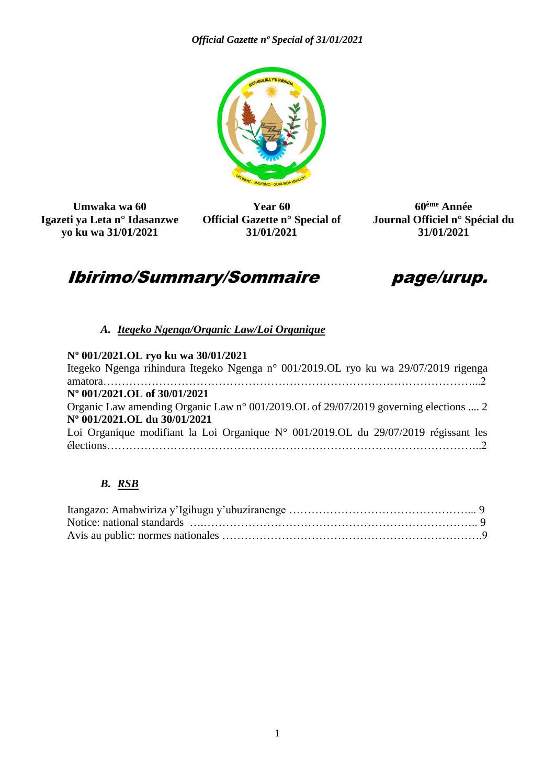

**Umwaka wa 60 Igazeti ya Leta n° Idasanzwe yo ku wa 31/01/2021**

**Year 60 Official Gazette n° Special of 31/01/2021**

**60ème Année Journal Officiel n° Spécial du 31/01/2021**

## Ibirimo/Summary/Sommaire page/urup.



## *A. Itegeko Ngenga/Organic Law/Loi Organique*

## **Nº 001/2021.OL ryo ku wa 30/01/2021** Itegeko Ngenga rihindura Itegeko Ngenga n° 001/2019.OL ryo ku wa 29/07/2019 rigenga amatora………………………………………………………………………………………...2 **Nº 001/2021.OL of 30/01/2021** Organic Law amending Organic Law n° 001/2019.OL of 29/07/2019 governing elections .... 2 **Nº 001/2021.OL du 30/01/2021** Loi Organique modifiant la Loi Organique N° 001/2019.OL du 29/07/2019 régissant les élections………………………………………………………………………………………..2

## *B. RSB*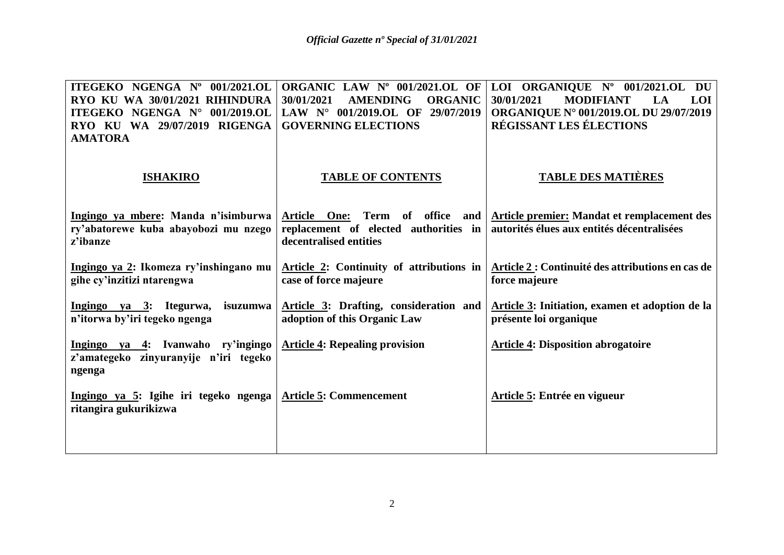| ITEGEKO NGENGA Nº 001/2021.OL                                  | ORGANIC LAW Nº 001/2021.OL OF                   | LOI ORGANIQUE Nº 001/2021.OL DU                                             |  |
|----------------------------------------------------------------|-------------------------------------------------|-----------------------------------------------------------------------------|--|
| RYO KU WA 30/01/2021 RIHINDURA                                 | <b>ORGANIC</b><br>30/01/2021<br><b>AMENDING</b> | <b>MODIFIANT</b><br>30/01/2021<br>LA<br><b>LOI</b>                          |  |
| ITEGEKO NGENGA N° 001/2019.OL                                  | LAW $N^{\circ}$ 001/2019.OL OF<br>29/07/2019    | <b>ORGANIQUE N° 001/2019.OL DU 29/07/2019</b>                               |  |
| RYO KU WA 29/07/2019 RIGENGA                                   | <b>GOVERNING ELECTIONS</b>                      | <b>RÉGISSANT LES ÉLECTIONS</b>                                              |  |
| <b>AMATORA</b>                                                 |                                                 |                                                                             |  |
| <b>ISHAKIRO</b>                                                | <b>TABLE OF CONTENTS</b>                        | <b>TABLE DES MATIÈRES</b>                                                   |  |
| Ingingo ya mbere: Manda n'isimburwa                            |                                                 | Article One: Term of office and Article premier: Mandat et remplacement des |  |
| ry'abatorewe kuba abayobozi mu nzego                           | replacement of elected authorities in           | autorités élues aux entités décentralisées                                  |  |
| z'ibanze                                                       | decentralised entities                          |                                                                             |  |
|                                                                |                                                 |                                                                             |  |
| Ingingo ya 2: Ikomeza ry'inshingano mu                         | Article 2: Continuity of attributions in        | Article 2 : Continuité des attributions en cas de                           |  |
| gihe cy'inzitizi ntarengwa                                     | case of force majeure                           | force majeure                                                               |  |
|                                                                |                                                 |                                                                             |  |
| Ingingo ya 3: Itegurwa, isuzumwa                               | Article 3: Drafting, consideration and          | Article 3: Initiation, examen et adoption de la                             |  |
| n'itorwa by'iri tegeko ngenga                                  | adoption of this Organic Law                    | présente loi organique                                                      |  |
|                                                                |                                                 |                                                                             |  |
| Ingingo ya 4: Ivanwaho ry'ingingo                              | <b>Article 4: Repealing provision</b>           | <b>Article 4: Disposition abrogatoire</b>                                   |  |
| z'amategeko zinyuranyije n'iri tegeko                          |                                                 |                                                                             |  |
| ngenga                                                         |                                                 |                                                                             |  |
|                                                                |                                                 |                                                                             |  |
| Ingingo ya 5: Igihe iri tegeko ngenga<br>ritangira gukurikizwa | <b>Article 5: Commencement</b>                  | Article 5: Entrée en vigueur                                                |  |
|                                                                |                                                 |                                                                             |  |
|                                                                |                                                 |                                                                             |  |
|                                                                |                                                 |                                                                             |  |
|                                                                |                                                 |                                                                             |  |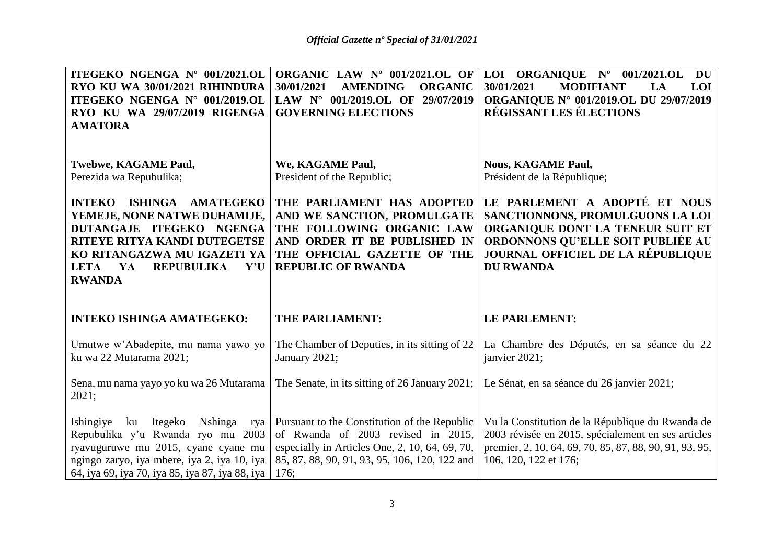| ITEGEKO NGENGA Nº 001/2021.OL<br>RYO KU WA 30/01/2021 RIHINDURA<br>ITEGEKO NGENGA N° 001/2019.OL<br>RYO KU WA 29/07/2019 RIGENGA<br><b>AMATORA</b>                                                                       | ORGANIC LAW Nº 001/2021.OL OF<br>30/01/2021<br><b>ORGANIC</b><br><b>AMENDING</b><br>LAW $N^{\circ}$ 001/2019.OL OF<br>29/07/2019<br><b>GOVERNING ELECTIONS</b>                     | LOI ORGANIQUE Nº 001/2021.OL<br>DU<br>30/01/2021<br><b>MODIFIANT</b><br><b>LOI</b><br>LA<br><b>ORGANIQUE N° 001/2019.OL DU 29/07/2019</b><br><b>RÉGISSANT LES ÉLECTIONS</b>                         |  |
|--------------------------------------------------------------------------------------------------------------------------------------------------------------------------------------------------------------------------|------------------------------------------------------------------------------------------------------------------------------------------------------------------------------------|-----------------------------------------------------------------------------------------------------------------------------------------------------------------------------------------------------|--|
| Twebwe, KAGAME Paul,<br>Perezida wa Repubulika;                                                                                                                                                                          | We, KAGAME Paul,<br>President of the Republic;                                                                                                                                     | <b>Nous, KAGAME Paul,</b><br>Président de la République;                                                                                                                                            |  |
| ISHINGA AMATEGEKO<br><b>INTEKO</b><br>YEMEJE, NONE NATWE DUHAMIJE,<br>DUTANGAJE ITEGEKO NGENGA<br>RITEYE RITYA KANDI DUTEGETSE<br>KO RITANGAZWA MU IGAZETI YA<br><b>REPUBULIKA</b><br>Y'U<br>LETA<br>YA<br><b>RWANDA</b> | THE PARLIAMENT HAS ADOPTED<br>AND WE SANCTION, PROMULGATE<br>THE FOLLOWING ORGANIC LAW<br>AND ORDER IT BE PUBLISHED IN<br>THE OFFICIAL GAZETTE OF THE<br><b>REPUBLIC OF RWANDA</b> | LE PARLEMENT A ADOPTÉ ET NOUS<br>SANCTIONNONS, PROMULGUONS LA LOI<br>ORGANIQUE DONT LA TENEUR SUIT ET<br>ORDONNONS QU'ELLE SOIT PUBLIÉE AU<br>JOURNAL OFFICIEL DE LA RÉPUBLIQUE<br><b>DU RWANDA</b> |  |
| <b>INTEKO ISHINGA AMATEGEKO:</b>                                                                                                                                                                                         | <b>THE PARLIAMENT:</b>                                                                                                                                                             | <b>LE PARLEMENT:</b>                                                                                                                                                                                |  |
|                                                                                                                                                                                                                          |                                                                                                                                                                                    |                                                                                                                                                                                                     |  |
| Umutwe w'Abadepite, mu nama yawo yo<br>ku wa 22 Mutarama 2021;                                                                                                                                                           | The Chamber of Deputies, in its sitting of 22<br>January 2021;                                                                                                                     | La Chambre des Députés, en sa séance du 22<br>janvier 2021;                                                                                                                                         |  |
| Sena, mu nama yayo yo ku wa 26 Mutarama<br>2021;                                                                                                                                                                         | The Senate, in its sitting of 26 January 2021;                                                                                                                                     | Le Sénat, en sa séance du 26 janvier 2021;                                                                                                                                                          |  |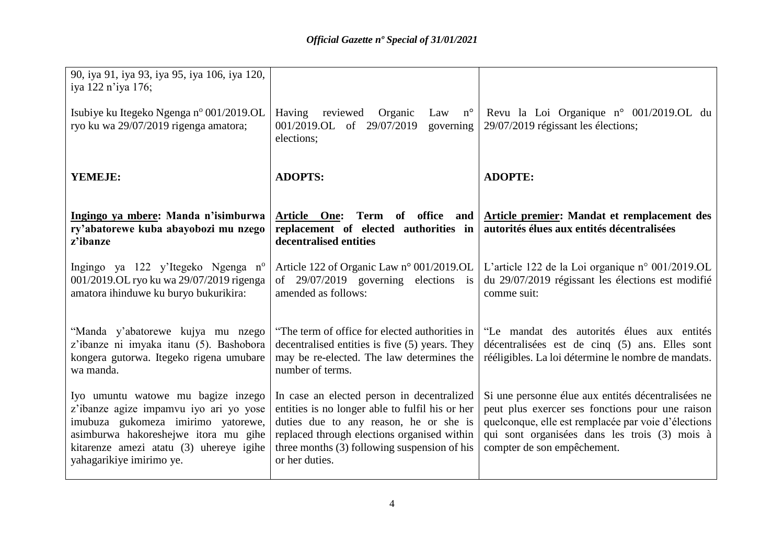| 90, iya 91, iya 93, iya 95, iya 106, iya 120,<br>iya 122 n'iya 176;                                                                                                                                                               |                                                                                                                                                                                                                                                            |                                                                                                                                                                                                                                              |  |
|-----------------------------------------------------------------------------------------------------------------------------------------------------------------------------------------------------------------------------------|------------------------------------------------------------------------------------------------------------------------------------------------------------------------------------------------------------------------------------------------------------|----------------------------------------------------------------------------------------------------------------------------------------------------------------------------------------------------------------------------------------------|--|
| Isubiye ku Itegeko Ngenga nº 001/2019.OL<br>ryo ku wa 29/07/2019 rigenga amatora;                                                                                                                                                 | Having<br>reviewed<br>Organic<br>$n^{\circ}$<br>Law<br>001/2019.OL of 29/07/2019<br>governing<br>elections;                                                                                                                                                | Revu la Loi Organique n° 001/2019.OL du<br>29/07/2019 régissant les élections;                                                                                                                                                               |  |
| YEMEJE:                                                                                                                                                                                                                           | <b>ADOPTS:</b>                                                                                                                                                                                                                                             | <b>ADOPTE:</b>                                                                                                                                                                                                                               |  |
| Ingingo ya mbere: Manda n'isimburwa<br>ry'abatorewe kuba abayobozi mu nzego<br>z'ibanze                                                                                                                                           | replacement of elected authorities in<br>decentralised entities                                                                                                                                                                                            | Article One: Term of office and Article premier: Mandat et remplacement des<br>autorités élues aux entités décentralisées                                                                                                                    |  |
| Ingingo ya 122 y'Itegeko Ngenga n <sup>o</sup><br>001/2019.OL ryo ku wa 29/07/2019 rigenga<br>amatora ihinduwe ku buryo bukurikira:                                                                                               | Article 122 of Organic Law n° 001/2019.OL<br>of $29/07/2019$ governing elections is<br>amended as follows:                                                                                                                                                 | L'article 122 de la Loi organique n° 001/2019.OL<br>du 29/07/2019 régissant les élections est modifié<br>comme suit:                                                                                                                         |  |
| "Manda y'abatorewe kujya mu nzego<br>z'ibanze ni imyaka itanu (5). Bashobora<br>kongera gutorwa. Itegeko rigena umubare<br>wa manda.                                                                                              | "The term of office for elected authorities in<br>decentralised entities is five (5) years. They<br>may be re-elected. The law determines the<br>number of terms.                                                                                          | "Le mandat des autorités élues aux entités<br>décentralisées est de cinq (5) ans. Elles sont<br>rééligibles. La loi détermine le nombre de mandats.                                                                                          |  |
| Iyo umuntu watowe mu bagize inzego<br>z'ibanze agize impamvu iyo ari yo yose<br>imubuza gukomeza imirimo yatorewe,<br>asimburwa hakoreshejwe itora mu gihe<br>kitarenze amezi atatu (3) uhereye igihe<br>yahagarikiye imirimo ye. | In case an elected person in decentralized<br>entities is no longer able to fulfil his or her<br>duties due to any reason, he or she is<br>replaced through elections organised within<br>three months $(3)$ following suspension of his<br>or her duties. | Si une personne élue aux entités décentralisées ne<br>peut plus exercer ses fonctions pour une raison<br>quelconque, elle est remplacée par voie d'élections<br>qui sont organisées dans les trois (3) mois à<br>compter de son empêchement. |  |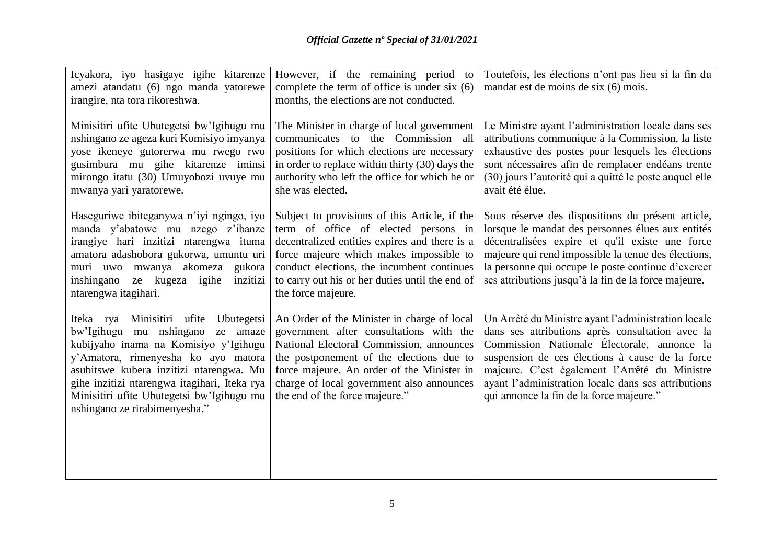| Icyakora, iyo hasigaye igihe kitarenze                                                                                                                                                                                                                                                                                                | However, if the remaining period to                                                                                                                                                                                                                                                                         | Toutefois, les élections n'ont pas lieu si la fin du                                                                                                                                                                                                                                                                                                          |  |
|---------------------------------------------------------------------------------------------------------------------------------------------------------------------------------------------------------------------------------------------------------------------------------------------------------------------------------------|-------------------------------------------------------------------------------------------------------------------------------------------------------------------------------------------------------------------------------------------------------------------------------------------------------------|---------------------------------------------------------------------------------------------------------------------------------------------------------------------------------------------------------------------------------------------------------------------------------------------------------------------------------------------------------------|--|
| amezi atandatu (6) ngo manda yatorewe                                                                                                                                                                                                                                                                                                 | complete the term of office is under six $(6)$                                                                                                                                                                                                                                                              | mandat est de moins de six (6) mois.                                                                                                                                                                                                                                                                                                                          |  |
| irangire, nta tora rikoreshwa.                                                                                                                                                                                                                                                                                                        | months, the elections are not conducted.                                                                                                                                                                                                                                                                    |                                                                                                                                                                                                                                                                                                                                                               |  |
| Minisitiri ufite Ubutegetsi bw'lgihugu mu<br>nshingano ze ageza kuri Komisiyo imyanya<br>yose ikeneye gutorerwa mu rwego rwo<br>gusimbura mu gihe kitarenze iminsi<br>mirongo itatu (30) Umuyobozi uvuye mu<br>mwanya yari yaratorewe.                                                                                                | The Minister in charge of local government<br>communicates to the Commission all<br>positions for which elections are necessary<br>in order to replace within thirty (30) days the<br>authority who left the office for which he or<br>she was elected.                                                     | Le Ministre ayant l'administration locale dans ses<br>attributions communique à la Commission, la liste<br>exhaustive des postes pour lesquels les élections<br>sont nécessaires afin de remplacer endéans trente<br>(30) jours l'autorité qui a quitté le poste auquel elle<br>avait été élue.                                                               |  |
| Haseguriwe ibiteganywa n'iyi ngingo, iyo<br>manda y'abatowe mu nzego z'ibanze<br>irangiye hari inzitizi ntarengwa ituma<br>amatora adashobora gukorwa, umuntu uri<br>muri uwo mwanya akomeza gukora<br>inshingano ze kugeza igihe<br>inzitizi<br>ntarengwa itagihari.                                                                 | Subject to provisions of this Article, if the<br>term of office of elected persons in<br>decentralized entities expires and there is a<br>force majeure which makes impossible to<br>conduct elections, the incumbent continues<br>to carry out his or her duties until the end of<br>the force majeure.    | Sous réserve des dispositions du présent article,<br>lorsque le mandat des personnes élues aux entités<br>décentralisées expire et qu'il existe une force<br>majeure qui rend impossible la tenue des élections,<br>la personne qui occupe le poste continue d'exercer<br>ses attributions jusqu'à la fin de la force majeure.                                |  |
| Iteka rya Minisitiri ufite Ubutegetsi<br>bw'Igihugu mu nshingano<br>ze amaze<br>kubijyaho inama na Komisiyo y'Igihugu<br>y'Amatora, rimenyesha ko ayo matora<br>asubitswe kubera inzitizi ntarengwa. Mu<br>gihe inzitizi ntarengwa itagihari, Iteka rya<br>Minisitiri ufite Ubutegetsi bw'lgihugu mu<br>nshingano ze rirabimenyesha." | An Order of the Minister in charge of local<br>government after consultations with the<br>National Electoral Commission, announces<br>the postponement of the elections due to<br>force majeure. An order of the Minister in<br>charge of local government also announces<br>the end of the force majeure." | Un Arrêté du Ministre ayant l'administration locale<br>dans ses attributions après consultation avec la<br>Commission Nationale Électorale, annonce la<br>suspension de ces élections à cause de la force<br>majeure. C'est également l'Arrêté du Ministre<br>ayant l'administration locale dans ses attributions<br>qui annonce la fin de la force majeure." |  |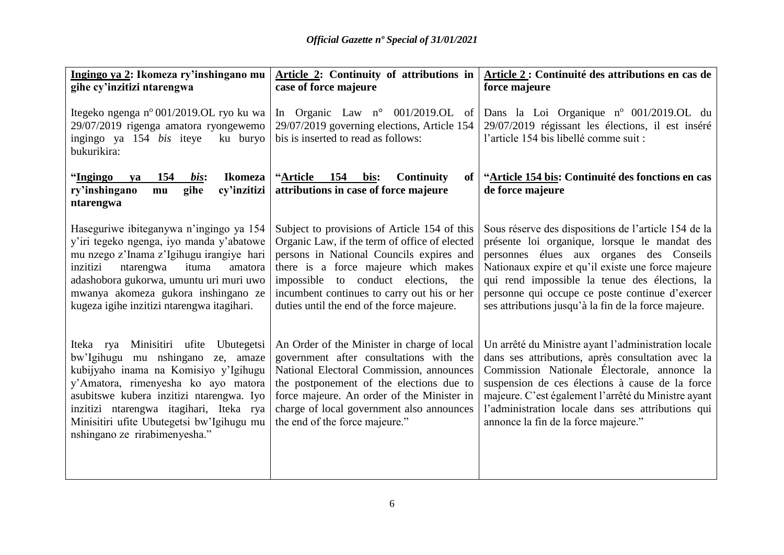| Ingingo ya 2: Ikomeza ry'inshingano mu                                                                                                                                                                                                                                                                                          | Article 2: Continuity of attributions in                                                                                                                                                                                                                                                                               | Article 2: Continuité des attributions en cas de                                                                                                                                                                                                                                                                                                                     |  |
|---------------------------------------------------------------------------------------------------------------------------------------------------------------------------------------------------------------------------------------------------------------------------------------------------------------------------------|------------------------------------------------------------------------------------------------------------------------------------------------------------------------------------------------------------------------------------------------------------------------------------------------------------------------|----------------------------------------------------------------------------------------------------------------------------------------------------------------------------------------------------------------------------------------------------------------------------------------------------------------------------------------------------------------------|--|
| gihe cy'inzitizi ntarengwa                                                                                                                                                                                                                                                                                                      | case of force majeure                                                                                                                                                                                                                                                                                                  | force majeure                                                                                                                                                                                                                                                                                                                                                        |  |
| Itegeko ngenga nº 001/2019.OL ryo ku wa<br>29/07/2019 rigenga amatora ryongewemo                                                                                                                                                                                                                                                | In Organic Law $n^{\circ}$ 001/2019.OL of<br>29/07/2019 governing elections, Article 154                                                                                                                                                                                                                               | Dans la Loi Organique nº 001/2019.OL du<br>29/07/2019 régissant les élections, il est inséré                                                                                                                                                                                                                                                                         |  |
| ingingo ya 154 bis iteye<br>ku buryo<br>bukurikira:                                                                                                                                                                                                                                                                             | bis is inserted to read as follows:                                                                                                                                                                                                                                                                                    | l'article 154 bis libellé comme suit :                                                                                                                                                                                                                                                                                                                               |  |
| "Ingingo<br>154<br>bis:<br><b>Ikomeza</b><br>ya<br>ry'inshingano<br>gihe<br>cy'inzitizi<br>mu<br>ntarengwa                                                                                                                                                                                                                      | "Article<br>154<br>Continuity<br>bis:<br>of<br>attributions in case of force majeure                                                                                                                                                                                                                                   | "Article 154 bis: Continuité des fonctions en cas<br>de force majeure                                                                                                                                                                                                                                                                                                |  |
| Haseguriwe ibiteganywa n'ingingo ya 154<br>y'iri tegeko ngenga, iyo manda y'abatowe<br>mu nzego z'Inama z'Igihugu irangiye hari<br>inzitizi<br>ntarengwa<br>ituma<br>amatora<br>adashobora gukorwa, umuntu uri muri uwo<br>mwanya akomeza gukora inshingano ze<br>kugeza igihe inzitizi ntarengwa itagihari.                    | Subject to provisions of Article 154 of this<br>Organic Law, if the term of office of elected<br>persons in National Councils expires and<br>there is a force majeure which makes<br>impossible to conduct elections, the<br>incumbent continues to carry out his or her<br>duties until the end of the force majeure. | Sous réserve des dispositions de l'article 154 de la<br>présente loi organique, lorsque le mandat des<br>personnes élues aux organes des Conseils<br>Nationaux expire et qu'il existe une force majeure<br>qui rend impossible la tenue des élections, la<br>personne qui occupe ce poste continue d'exercer<br>ses attributions jusqu'à la fin de la force majeure. |  |
| Iteka rya Minisitiri ufite Ubutegetsi<br>bw'Igihugu mu nshingano ze, amaze<br>kubijyaho inama na Komisiyo y'Igihugu<br>y'Amatora, rimenyesha ko ayo matora<br>asubitswe kubera inzitizi ntarengwa. Iyo<br>inzitizi ntarengwa itagihari, Iteka rya<br>Minisitiri ufite Ubutegetsi bw'Igihugu mu<br>nshingano ze rirabimenyesha." | An Order of the Minister in charge of local<br>government after consultations with the<br>National Electoral Commission, announces<br>the postponement of the elections due to<br>force majeure. An order of the Minister in<br>charge of local government also announces<br>the end of the force majeure."            | Un arrêté du Ministre ayant l'administration locale<br>dans ses attributions, après consultation avec la<br>Commission Nationale Électorale, annonce la<br>suspension de ces élections à cause de la force<br>majeure. C'est également l'arrêté du Ministre ayant<br>l'administration locale dans ses attributions qui<br>annonce la fin de la force majeure."       |  |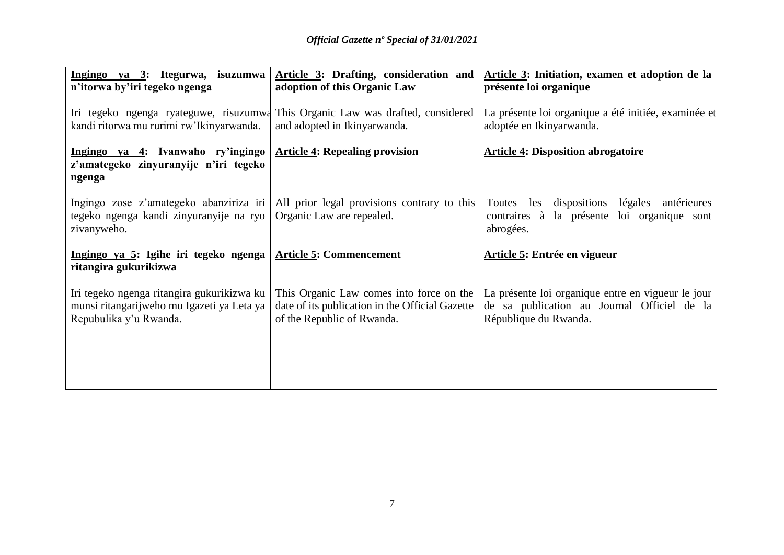| Ingingo ya 3: Itegurwa, isuzumwa                                                                                      | Article 3: Drafting, consideration and                                                                                    | Article 3: Initiation, examen et adoption de la                                                                            |  |
|-----------------------------------------------------------------------------------------------------------------------|---------------------------------------------------------------------------------------------------------------------------|----------------------------------------------------------------------------------------------------------------------------|--|
| n'itorwa by'iri tegeko ngenga                                                                                         | adoption of this Organic Law                                                                                              | présente loi organique                                                                                                     |  |
| kandi ritorwa mu rurimi rw'Ikinyarwanda.                                                                              | Iri tegeko ngenga ryateguwe, risuzumwa This Organic Law was drafted, considered<br>and adopted in Ikinyarwanda.           | La présente loi organique a été initiée, examinée et<br>adoptée en Ikinyarwanda.                                           |  |
| Ingingo ya 4: Ivanwaho ry'ingingo   Article 4: Repealing provision<br>z'amategeko zinyuranyije n'iri tegeko<br>ngenga |                                                                                                                           | <b>Article 4: Disposition abrogatoire</b>                                                                                  |  |
| Ingingo zose z'amategeko abanziriza iri<br>tegeko ngenga kandi zinyuranyije na ryo<br>zivanyweho.                     | All prior legal provisions contrary to this<br>Organic Law are repealed.                                                  | Toutes les dispositions légales antérieures<br>contraires à la présente loi organique sont<br>abrogées.                    |  |
| <u>Ingingo ya 5</u> : Igihe iri tegeko ngenga <u>Article 5</u> : Commencement<br>ritangira gukurikizwa                |                                                                                                                           | Article 5: Entrée en vigueur                                                                                               |  |
| Iri tegeko ngenga ritangira gukurikizwa ku<br>munsi ritangarijweho mu Igazeti ya Leta ya<br>Repubulika y'u Rwanda.    | This Organic Law comes into force on the<br>date of its publication in the Official Gazette<br>of the Republic of Rwanda. | La présente loi organique entre en vigueur le jour<br>de sa publication au Journal Officiel de la<br>République du Rwanda. |  |
|                                                                                                                       |                                                                                                                           |                                                                                                                            |  |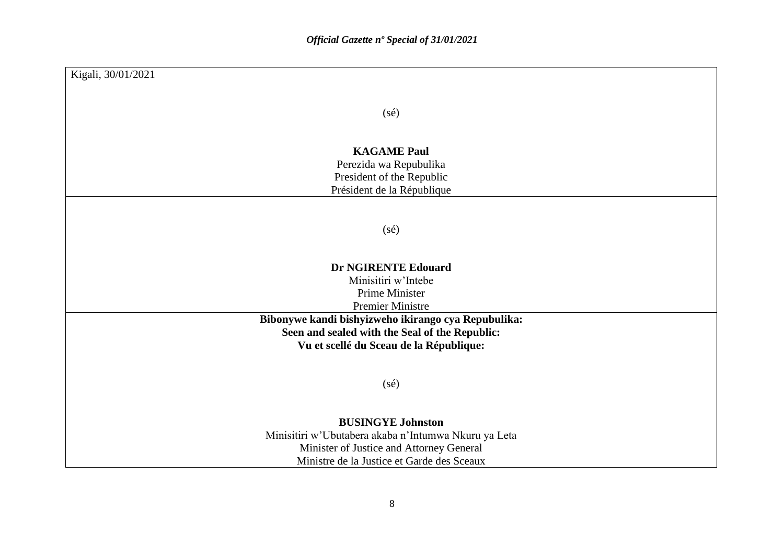| Kigali, 30/01/2021                                                                                                                                                         |
|----------------------------------------------------------------------------------------------------------------------------------------------------------------------------|
|                                                                                                                                                                            |
| $(s\acute{e})$                                                                                                                                                             |
|                                                                                                                                                                            |
|                                                                                                                                                                            |
| <b>KAGAME Paul</b>                                                                                                                                                         |
| Perezida wa Repubulika                                                                                                                                                     |
| President of the Republic<br>Président de la République                                                                                                                    |
|                                                                                                                                                                            |
|                                                                                                                                                                            |
| $(s\acute{e})$                                                                                                                                                             |
|                                                                                                                                                                            |
|                                                                                                                                                                            |
| <b>Dr NGIRENTE Edouard</b>                                                                                                                                                 |
| Minisitiri w'Intebe                                                                                                                                                        |
| Prime Minister                                                                                                                                                             |
| <b>Premier Ministre</b>                                                                                                                                                    |
| Bibonywe kandi bishyizweho ikirango cya Repubulika:<br>Seen and sealed with the Seal of the Republic:                                                                      |
| Vu et scellé du Sceau de la République:                                                                                                                                    |
|                                                                                                                                                                            |
|                                                                                                                                                                            |
| $(s\acute{e})$                                                                                                                                                             |
|                                                                                                                                                                            |
|                                                                                                                                                                            |
|                                                                                                                                                                            |
|                                                                                                                                                                            |
|                                                                                                                                                                            |
| <b>BUSINGYE Johnston</b><br>Minisitiri w'Ubutabera akaba n'Intumwa Nkuru ya Leta<br>Minister of Justice and Attorney General<br>Ministre de la Justice et Garde des Sceaux |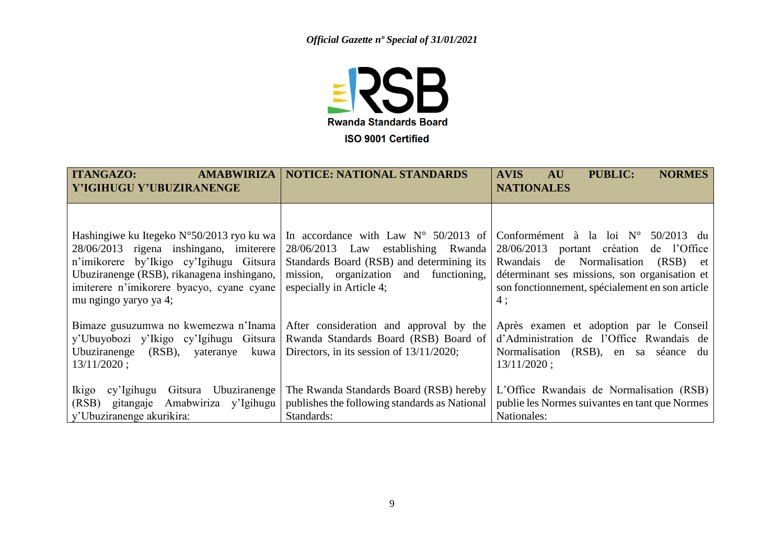

| <b>AMABWIRIZA</b><br><b>ITANGAZO:</b><br>Y'IGIHUGU Y'UBUZIRANENGE                                                                                                                                                                                            | <b>NOTICE: NATIONAL STANDARDS</b>                                                                                                                                                                         | <b>NORMES</b><br><b>AVIS</b><br><b>PUBLIC:</b><br><b>AU</b><br><b>NATIONALES</b>                                                                                                                                                                 |
|--------------------------------------------------------------------------------------------------------------------------------------------------------------------------------------------------------------------------------------------------------------|-----------------------------------------------------------------------------------------------------------------------------------------------------------------------------------------------------------|--------------------------------------------------------------------------------------------------------------------------------------------------------------------------------------------------------------------------------------------------|
| Hashingiwe ku Itegeko $N^{\circ}50/2013$ ryo ku wa<br>28/06/2013 rigena inshingano, imiterere<br>n'imikorere by'Ikigo cy'Igihugu Gitsura<br>Ubuziranenge (RSB), rikanagena inshingano,<br>imiterere n'imikorere byacyo, cyane cyane<br>mu ngingo yaryo ya 4; | In accordance with Law $N^{\circ}$ 50/2013 of<br>establishing Rwanda<br>28/06/2013 Law<br>Standards Board (RSB) and determining its<br>mission, organization and functioning,<br>especially in Article 4; | Conformément à la loi $N^{\circ}$ 50/2013 du<br>28/06/2013 portant création de l'Office<br>Normalisation<br>de<br>Rwandais<br>(RSB) et<br>déterminant ses missions, son organisation et<br>son fonctionnement, spécialement en son article<br>4: |
| Bimaze gusuzumwa no kwemezwa n'Inama<br>y'Ubuyobozi y'Ikigo cy'Igihugu Gitsura<br>Ubuziranenge<br>$(RSB)$ ,<br>kuwa<br>yateranye<br>$13/11/2020$ ;                                                                                                           | After consideration and approval by the<br>Rwanda Standards Board (RSB) Board of<br>Directors, in its session of $13/11/2020$ ;                                                                           | Après examen et adoption par le Conseil<br>d'Administration de l'Office Rwandais de<br>Normalisation (RSB), en sa séance du<br>$13/11/2020$ ;                                                                                                    |
| Ikigo<br>Ubuziranenge<br>Gitsura<br>cy'Igihugu<br>Amabwiriza y'Igihugu<br>(RSB)<br>gitangaje<br>y'Ubuziranenge akurikira:                                                                                                                                    | The Rwanda Standards Board (RSB) hereby<br>publishes the following standards as National<br>Standards:                                                                                                    | L'Office Rwandais de Normalisation (RSB)<br>publie les Normes suivantes en tant que Normes<br>Nationales:                                                                                                                                        |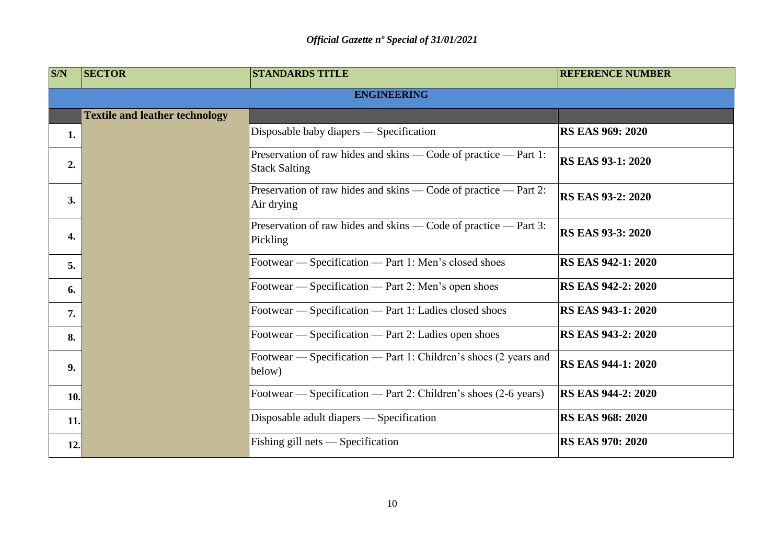| <b>S/N</b> | <b>SECTOR</b>                         | <b>STANDARDS TITLE</b>                                                                   | <b>REFERENCE NUMBER</b>   |  |  |
|------------|---------------------------------------|------------------------------------------------------------------------------------------|---------------------------|--|--|
|            | <b>ENGINEERING</b>                    |                                                                                          |                           |  |  |
|            | <b>Textile and leather technology</b> |                                                                                          |                           |  |  |
| 1.         |                                       | Disposable baby diapers — Specification                                                  | <b>RS EAS 969: 2020</b>   |  |  |
| 2.         |                                       | Preservation of raw hides and skins — Code of practice — Part 1:<br><b>Stack Salting</b> | <b>RS EAS 93-1: 2020</b>  |  |  |
| 3.         |                                       | Preservation of raw hides and skins — Code of practice — Part 2:<br>Air drying           | <b>RS EAS 93-2: 2020</b>  |  |  |
| 4.         |                                       | Preservation of raw hides and skins — Code of practice — Part 3:<br>Pickling             | <b>RS EAS 93-3: 2020</b>  |  |  |
| 5.         |                                       | Footwear - Specification - Part 1: Men's closed shoes                                    | <b>RS EAS 942-1: 2020</b> |  |  |
| 6.         |                                       | Footwear — Specification — Part 2: Men's open shoes                                      | <b>RS EAS 942-2: 2020</b> |  |  |
| 7.         |                                       | Footwear — Specification — Part 1: Ladies closed shoes                                   | RS EAS 943-1: 2020        |  |  |
| 8.         |                                       | Footwear — Specification — Part 2: Ladies open shoes                                     | RS EAS 943-2: 2020        |  |  |
| 9.         |                                       | Footwear — Specification — Part 1: Children's shoes (2 years and<br>below)               | <b>RS EAS 944-1: 2020</b> |  |  |
| 10.        |                                       | Footwear — Specification — Part 2: Children's shoes (2-6 years)                          | <b>RS EAS 944-2: 2020</b> |  |  |
| 11.        |                                       | Disposable adult diapers — Specification                                                 | <b>RS EAS 968: 2020</b>   |  |  |
| 12.        |                                       | Fishing gill nets — Specification                                                        | <b>RS EAS 970: 2020</b>   |  |  |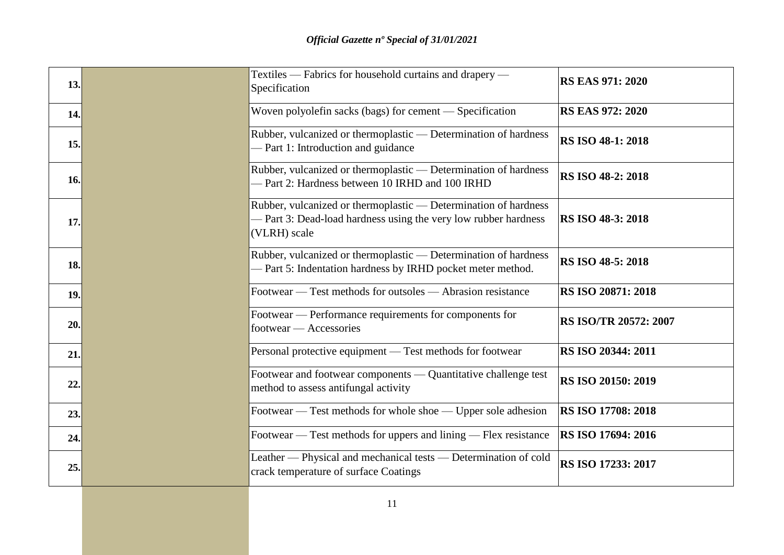| 13. | Textiles — Fabrics for household curtains and drapery —<br>Specification                                                                           | <b>RS EAS 971: 2020</b>  |
|-----|----------------------------------------------------------------------------------------------------------------------------------------------------|--------------------------|
| 14. | Woven polyolefin sacks (bags) for cement - Specification                                                                                           | <b>RS EAS 972: 2020</b>  |
| 15. | Rubber, vulcanized or thermoplastic — Determination of hardness<br>- Part 1: Introduction and guidance                                             | <b>RS ISO 48-1: 2018</b> |
| 16. | Rubber, vulcanized or thermoplastic — Determination of hardness<br>- Part 2: Hardness between 10 IRHD and 100 IRHD                                 | RS ISO 48-2: 2018        |
| 17. | Rubber, vulcanized or thermoplastic — Determination of hardness<br>- Part 3: Dead-load hardness using the very low rubber hardness<br>(VLRH) scale | RS ISO 48-3: 2018        |
| 18. | Rubber, vulcanized or thermoplastic — Determination of hardness<br>- Part 5: Indentation hardness by IRHD pocket meter method.                     | RS ISO 48-5: 2018        |
| 19. | Footwear — Test methods for outsoles — Abrasion resistance                                                                                         | RS ISO 20871: 2018       |
| 20. | Footwear — Performance requirements for components for<br>footwear — Accessories                                                                   | RS ISO/TR 20572: 2007    |
| 21. | Personal protective equipment — Test methods for footwear                                                                                          | RS ISO 20344: 2011       |
| 22. | Footwear and footwear components — Quantitative challenge test<br>method to assess antifungal activity                                             | RS ISO 20150: 2019       |
| 23. | Footwear — Test methods for whole shoe — Upper sole adhesion                                                                                       | RS ISO 17708: 2018       |
| 24. | Footwear — Test methods for uppers and lining — Flex resistance                                                                                    | RS ISO 17694: 2016       |
| 25. | Leather - Physical and mechanical tests - Determination of cold<br>crack temperature of surface Coatings                                           | RS ISO 17233: 2017       |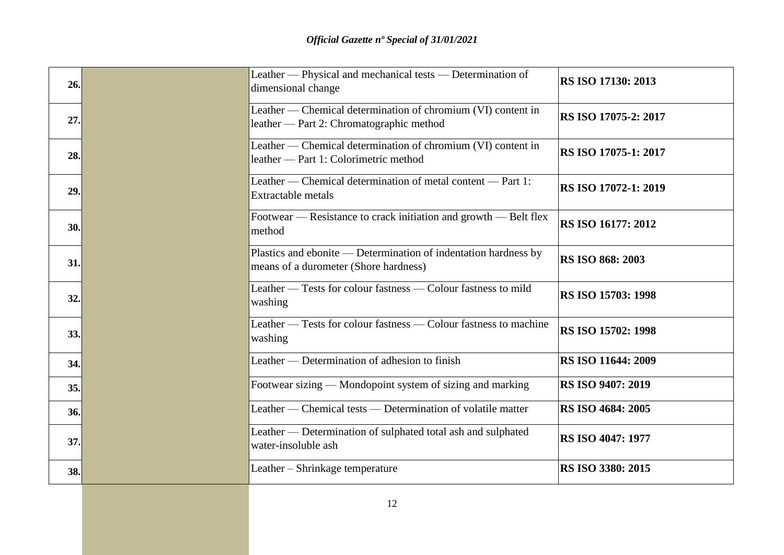| 26. | Leather — Physical and mechanical tests — Determination of<br>dimensional change                         | <b>RS ISO 17130: 2013</b>   |
|-----|----------------------------------------------------------------------------------------------------------|-----------------------------|
| 27. | Leather — Chemical determination of chromium (VI) content in<br>leather — Part 2: Chromatographic method | <b>RS ISO 17075-2: 2017</b> |
| 28. | Leather — Chemical determination of chromium (VI) content in<br>leather - Part 1: Colorimetric method    | <b>RS ISO 17075-1: 2017</b> |
| 29. | Leather — Chemical determination of metal content — Part 1:<br><b>Extractable metals</b>                 | <b>RS ISO 17072-1: 2019</b> |
| 30. | Footwear — Resistance to crack initiation and growth — Belt flex<br>method                               | <b>RS ISO 16177: 2012</b>   |
| 31. | Plastics and ebonite — Determination of indentation hardness by<br>means of a durometer (Shore hardness) | <b>RS ISO 868: 2003</b>     |
| 32. | Leather — Tests for colour fastness — Colour fastness to mild<br>washing                                 | <b>RS ISO 15703: 1998</b>   |
| 33. | Leather — Tests for colour fastness — Colour fastness to machine<br>washing                              | <b>RS ISO 15702: 1998</b>   |
| 34. | Leather — Determination of adhesion to finish                                                            | <b>RS ISO 11644: 2009</b>   |
| 35. | Footwear sizing — Mondopoint system of sizing and marking                                                | <b>RS ISO 9407: 2019</b>    |
| 36. | Leather — Chemical tests — Determination of volatile matter                                              | <b>RS ISO 4684: 2005</b>    |
| 37. | Leather — Determination of sulphated total ash and sulphated<br>water-insoluble ash                      | <b>RS ISO 4047: 1977</b>    |
| 38. | Leather – Shrinkage temperature                                                                          | <b>RS ISO 3380: 2015</b>    |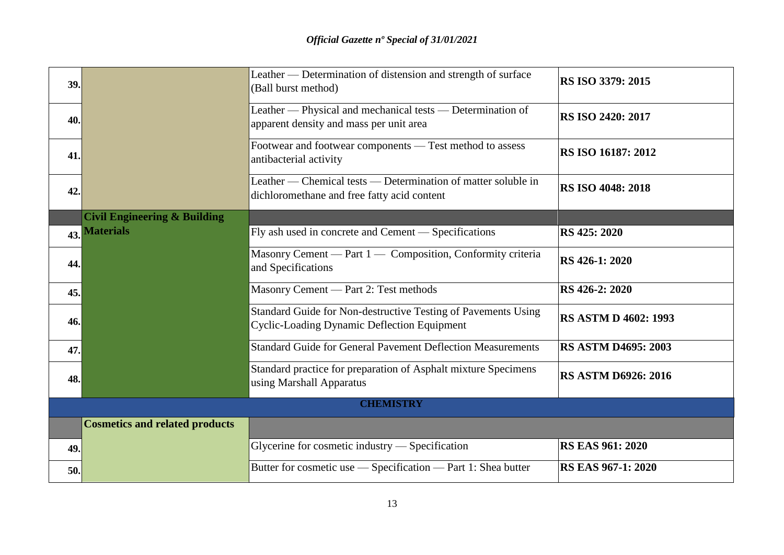| 39.              |                                         | Leather — Determination of distension and strength of surface<br>(Ball burst method)                                | RS ISO 3379: 2015           |
|------------------|-----------------------------------------|---------------------------------------------------------------------------------------------------------------------|-----------------------------|
| 40.              |                                         | Leather — Physical and mechanical tests — Determination of<br>apparent density and mass per unit area               | <b>RS ISO 2420: 2017</b>    |
| 41.              |                                         | Footwear and footwear components - Test method to assess<br>antibacterial activity                                  | RS ISO 16187: 2012          |
| 42.              |                                         | Leather — Chemical tests — Determination of matter soluble in<br>dichloromethane and free fatty acid content        | <b>RS ISO 4048: 2018</b>    |
|                  | <b>Civil Engineering &amp; Building</b> |                                                                                                                     |                             |
|                  | 43. Materials                           | Fly ash used in concrete and Cement — Specifications                                                                | RS 425: 2020                |
| 44.              |                                         | Masonry Cement — Part 1 — Composition, Conformity criteria<br>and Specifications                                    | <b>RS</b> 426-1: 2020       |
| 45.              |                                         | Masonry Cement — Part 2: Test methods                                                                               | RS 426-2: 2020              |
| 46.              |                                         | Standard Guide for Non-destructive Testing of Pavements Using<br><b>Cyclic-Loading Dynamic Deflection Equipment</b> | <b>RS ASTM D 4602: 1993</b> |
| 47.              |                                         | <b>Standard Guide for General Pavement Deflection Measurements</b>                                                  | <b>RS ASTM D4695: 2003</b>  |
| 48.              |                                         | Standard practice for preparation of Asphalt mixture Specimens<br>using Marshall Apparatus                          | <b>RS ASTM D6926: 2016</b>  |
| <b>CHEMISTRY</b> |                                         |                                                                                                                     |                             |
|                  | <b>Cosmetics and related products</b>   |                                                                                                                     |                             |
| 49.              |                                         | Glycerine for cosmetic industry — Specification                                                                     | <b>RS EAS 961: 2020</b>     |
| 50.              |                                         | Butter for cosmetic use — Specification — Part 1: Shea butter                                                       | <b>RS EAS 967-1: 2020</b>   |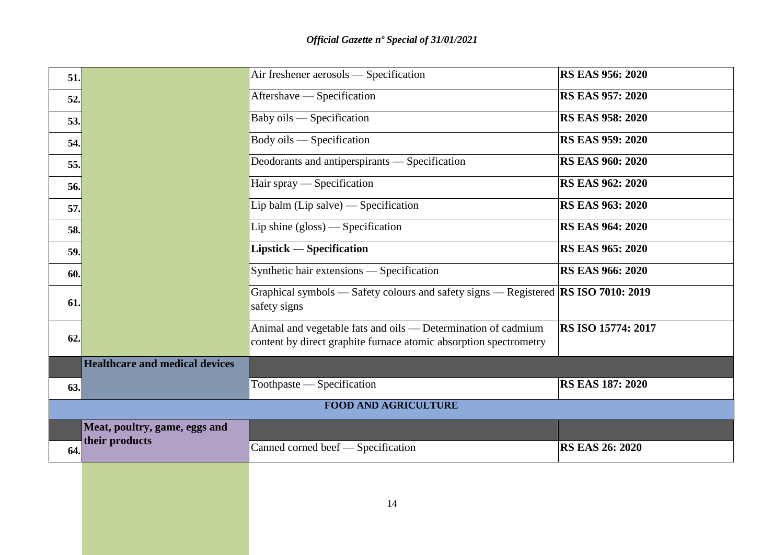| 51.                         |                                       | Air freshener aerosols — Specification                                                                                             | <b>RS EAS 956: 2020</b> |
|-----------------------------|---------------------------------------|------------------------------------------------------------------------------------------------------------------------------------|-------------------------|
| 52.                         |                                       | Aftershave — Specification                                                                                                         | <b>RS EAS 957: 2020</b> |
| 53.                         |                                       | Baby oils — Specification                                                                                                          | <b>RS EAS 958: 2020</b> |
| 54.                         |                                       | Body oils — Specification                                                                                                          | <b>RS EAS 959: 2020</b> |
| 55.                         |                                       | Deodorants and antiperspirants — Specification                                                                                     | <b>RS EAS 960: 2020</b> |
| 56.                         |                                       | Hair spray — Specification                                                                                                         | <b>RS EAS 962: 2020</b> |
| 57.                         |                                       | Lip balm (Lip salve) $-$ Specification                                                                                             | <b>RS EAS 963: 2020</b> |
| 58.                         |                                       | Lip shine $(gloss)$ - Specification                                                                                                | <b>RS EAS 964: 2020</b> |
| 59.                         |                                       | Lipstick — Specification                                                                                                           | <b>RS EAS 965: 2020</b> |
| 60.                         |                                       | Synthetic hair extensions - Specification                                                                                          | <b>RS EAS 966: 2020</b> |
| 61.                         |                                       | Graphical symbols — Safety colours and safety signs — Registered <b>RS ISO 7010: 2019</b><br>safety signs                          |                         |
| 62.                         |                                       | Animal and vegetable fats and oils - Determination of cadmium<br>content by direct graphite furnace atomic absorption spectrometry | RS ISO 15774: 2017      |
|                             | <b>Healthcare and medical devices</b> |                                                                                                                                    |                         |
| 63.                         |                                       | Toothpaste — Specification                                                                                                         | <b>RS EAS 187: 2020</b> |
| <b>FOOD AND AGRICULTURE</b> |                                       |                                                                                                                                    |                         |
|                             | Meat, poultry, game, eggs and         |                                                                                                                                    |                         |
| 64.                         | their products                        | Canned corned beef — Specification                                                                                                 | <b>RS EAS 26: 2020</b>  |
|                             |                                       |                                                                                                                                    |                         |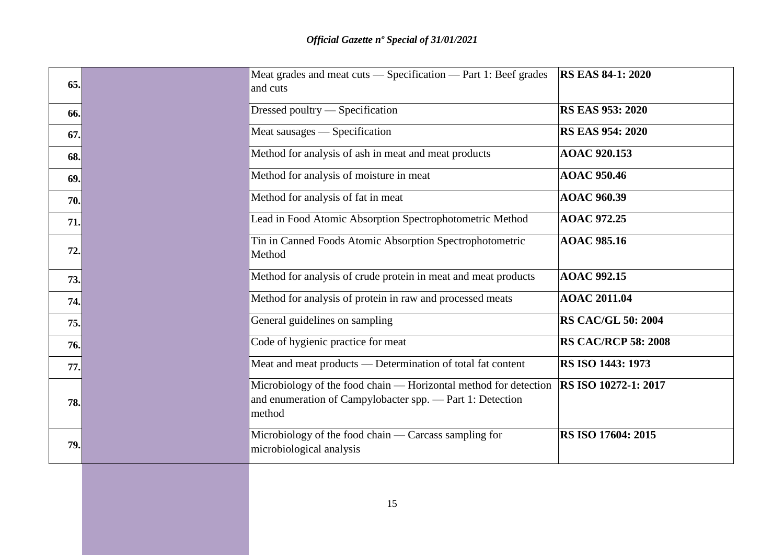| 65. | Meat grades and meat cuts — Specification — Part 1: Beef grades<br>and cuts                                                             | <b>RS EAS 84-1: 2020</b>    |
|-----|-----------------------------------------------------------------------------------------------------------------------------------------|-----------------------------|
| 66. | Dressed poultry — Specification                                                                                                         | <b>RS EAS 953: 2020</b>     |
| 67. | Meat sausages — Specification                                                                                                           | <b>RS EAS 954: 2020</b>     |
| 68. | Method for analysis of ash in meat and meat products                                                                                    | <b>AOAC 920.153</b>         |
| 69. | Method for analysis of moisture in meat                                                                                                 | <b>AOAC 950.46</b>          |
| 70. | Method for analysis of fat in meat                                                                                                      | <b>AOAC 960.39</b>          |
| 71. | Lead in Food Atomic Absorption Spectrophotometric Method                                                                                | <b>AOAC 972.25</b>          |
| 72. | Tin in Canned Foods Atomic Absorption Spectrophotometric<br>Method                                                                      | <b>AOAC 985.16</b>          |
| 73. | Method for analysis of crude protein in meat and meat products                                                                          | <b>AOAC 992.15</b>          |
| 74. | Method for analysis of protein in raw and processed meats                                                                               | <b>AOAC 2011.04</b>         |
| 75. | General guidelines on sampling                                                                                                          | <b>RS CAC/GL 50: 2004</b>   |
| 76. | Code of hygienic practice for meat                                                                                                      | <b>RS CAC/RCP 58: 2008</b>  |
| 77. | Meat and meat products — Determination of total fat content                                                                             | RS ISO 1443: 1973           |
| 78. | Microbiology of the food chain — Horizontal method for detection<br>and enumeration of Campylobacter spp. - Part 1: Detection<br>method | <b>RS ISO 10272-1: 2017</b> |
| 79. | Microbiology of the food chain $-$ Carcass sampling for<br>microbiological analysis                                                     | RS ISO 17604: 2015          |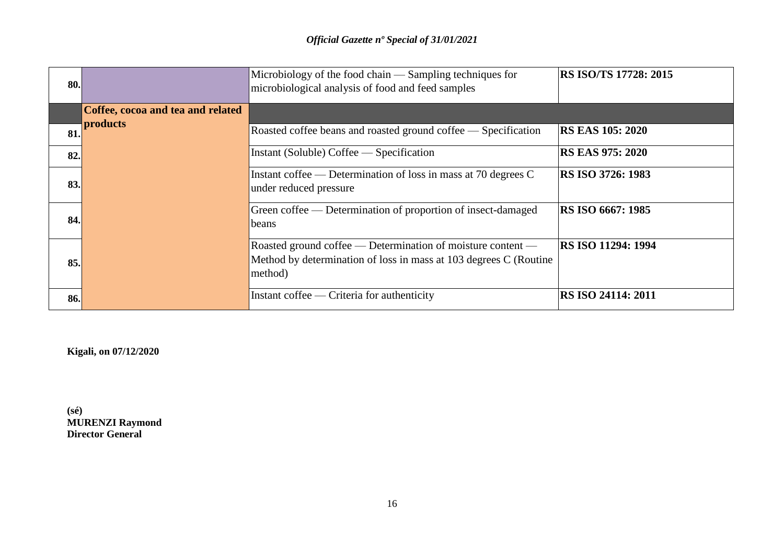| <b>80.</b> |                                   | Microbiology of the food chain — Sampling techniques for<br>microbiological analysis of food and feed samples                               | <b>RS ISO/TS 17728: 2015</b> |
|------------|-----------------------------------|---------------------------------------------------------------------------------------------------------------------------------------------|------------------------------|
|            | Coffee, cocoa and tea and related |                                                                                                                                             |                              |
| 81.        | products                          | Roasted coffee beans and roasted ground coffee — Specification                                                                              | <b>RS EAS 105: 2020</b>      |
| 82.        |                                   | Instant (Soluble) Coffee — Specification                                                                                                    | <b>RS EAS 975: 2020</b>      |
| 83.        |                                   | Instant coffee — Determination of loss in mass at 70 degrees C<br>under reduced pressure                                                    | <b>RS ISO 3726: 1983</b>     |
| <b>84.</b> |                                   | Green coffee — Determination of proportion of insect-damaged<br>beans                                                                       | <b>RS ISO 6667: 1985</b>     |
| <b>85.</b> |                                   | Roasted ground coffee — Determination of moisture content —<br>Method by determination of loss in mass at 103 degrees C (Routine<br>method) | <b>RS ISO 11294: 1994</b>    |
| <b>86.</b> |                                   | Instant coffee — Criteria for authenticity                                                                                                  | RS ISO 24114: 2011           |

**Kigali, on 07/12/2020**

**(sé) MURENZI Raymond Director General**